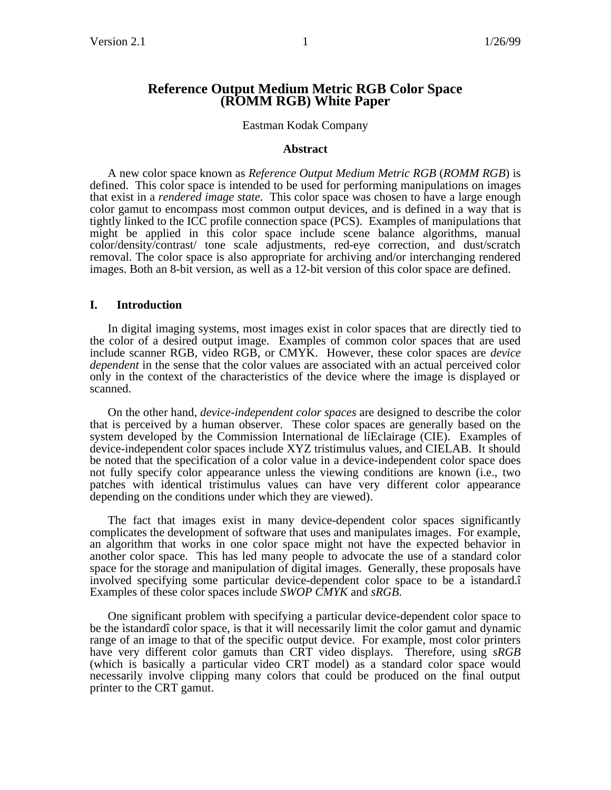# **Reference Output Medium Metric RGB Color Space (ROMM RGB) White Paper**

#### Eastman Kodak Company

#### **Abstract**

A new color space known as *Reference Output Medium Metric RGB* (*ROMM RGB*) is defined. This color space is intended to be used for performing manipulations on images that exist in a *rendered image state*. This color space was chosen to have a large enough color gamut to encompass most common output devices, and is defined in a way that is tightly linked to the ICC profile connection space (PCS). Examples of manipulations that might be applied in this color space include scene balance algorithms, manual color/density/contrast/ tone scale adjustments, red-eye correction, and dust/scratch removal. The color space is also appropriate for archiving and/or interchanging rendered images. Both an 8-bit version, as well as a 12-bit version of this color space are defined.

#### **I. Introduction**

In digital imaging systems, most images exist in color spaces that are directly tied to the color of a desired output image. Examples of common color spaces that are used include scanner RGB, video RGB, or CMYK. However, these color spaces are *device dependent* in the sense that the color values are associated with an actual perceived color only in the context of the characteristics of the device where the image is displayed or scanned.

On the other hand, *device-independent color spaces* are designed to describe the color that is perceived by a human observer. These color spaces are generally based on the system developed by the Commission International de líEclairage (CIE). Examples of device-independent color spaces include XYZ tristimulus values, and CIELAB. It should be noted that the specification of a color value in a device-independent color space does not fully specify color appearance unless the viewing conditions are known (i.e., two patches with identical tristimulus values can have very different color appearance depending on the conditions under which they are viewed).

The fact that images exist in many device-dependent color spaces significantly complicates the development of software that uses and manipulates images. For example, an algorithm that works in one color space might not have the expected behavior in another color space. This has led many people to advocate the use of a standard color space for the storage and manipulation of digital images. Generally, these proposals have involved specifying some particular device-dependent color space to be a ìstandard.î Examples of these color spaces include *SWOP CMYK* and *sRGB*.

One significant problem with specifying a particular device-dependent color space to be the ìstandardî color space, is that it will necessarily limit the color gamut and dynamic range of an image to that of the specific output device. For example, most color printers have very different color gamuts than CRT video displays. Therefore, using *sRGB* (which is basically a particular video CRT model) as a standard color space would necessarily involve clipping many colors that could be produced on the final output printer to the CRT gamut.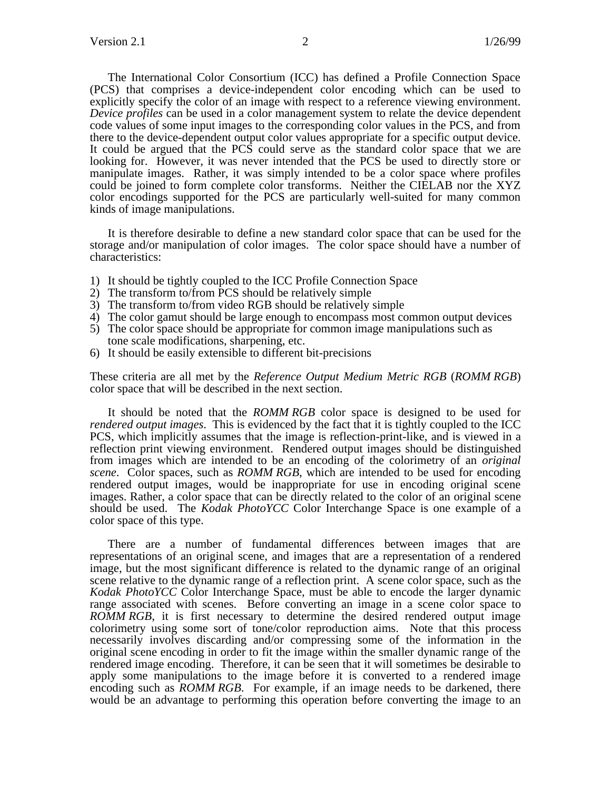The International Color Consortium (ICC) has defined a Profile Connection Space (PCS) that comprises a device-independent color encoding which can be used to explicitly specify the color of an image with respect to a reference viewing environment. *Device profiles* can be used in a color management system to relate the device dependent code values of some input images to the corresponding color values in the PCS, and from there to the device-dependent output color values appropriate for a specific output device. It could be argued that the PCS could serve as the standard color space that we are looking for. However, it was never intended that the PCS be used to directly store or manipulate images. Rather, it was simply intended to be a color space where profiles could be joined to form complete color transforms. Neither the CIELAB nor the XYZ color encodings supported for the PCS are particularly well-suited for many common kinds of image manipulations.

It is therefore desirable to define a new standard color space that can be used for the storage and/or manipulation of color images. The color space should have a number of characteristics:

- 1) It should be tightly coupled to the ICC Profile Connection Space
- 2) The transform to/from PCS should be relatively simple
- 3) The transform to/from video RGB should be relatively simple
- 4) The color gamut should be large enough to encompass most common output devices
- 5) The color space should be appropriate for common image manipulations such as tone scale modifications, sharpening, etc.
- 6) It should be easily extensible to different bit-precisions

These criteria are all met by the *Reference Output Medium Metric RGB* (*ROMM RGB*) color space that will be described in the next section.

It should be noted that the *ROMM RGB* color space is designed to be used for *rendered output images*. This is evidenced by the fact that it is tightly coupled to the ICC PCS, which implicitly assumes that the image is reflection-print-like, and is viewed in a reflection print viewing environment. Rendered output images should be distinguished from images which are intended to be an encoding of the colorimetry of an *original scene*. Color spaces, such as *ROMM RGB*, which are intended to be used for encoding rendered output images, would be inappropriate for use in encoding original scene images. Rather, a color space that can be directly related to the color of an original scene should be used. The *Kodak PhotoYCC* Color Interchange Space is one example of a color space of this type.

There are a number of fundamental differences between images that are representations of an original scene, and images that are a representation of a rendered image, but the most significant difference is related to the dynamic range of an original scene relative to the dynamic range of a reflection print. A scene color space, such as the *Kodak PhotoYCC* Color Interchange Space, must be able to encode the larger dynamic range associated with scenes. Before converting an image in a scene color space to *ROMM RGB*, it is first necessary to determine the desired rendered output image colorimetry using some sort of tone/color reproduction aims. Note that this process necessarily involves discarding and/or compressing some of the information in the original scene encoding in order to fit the image within the smaller dynamic range of the rendered image encoding. Therefore, it can be seen that it will sometimes be desirable to apply some manipulations to the image before it is converted to a rendered image encoding such as *ROMM RGB*. For example, if an image needs to be darkened, there would be an advantage to performing this operation before converting the image to an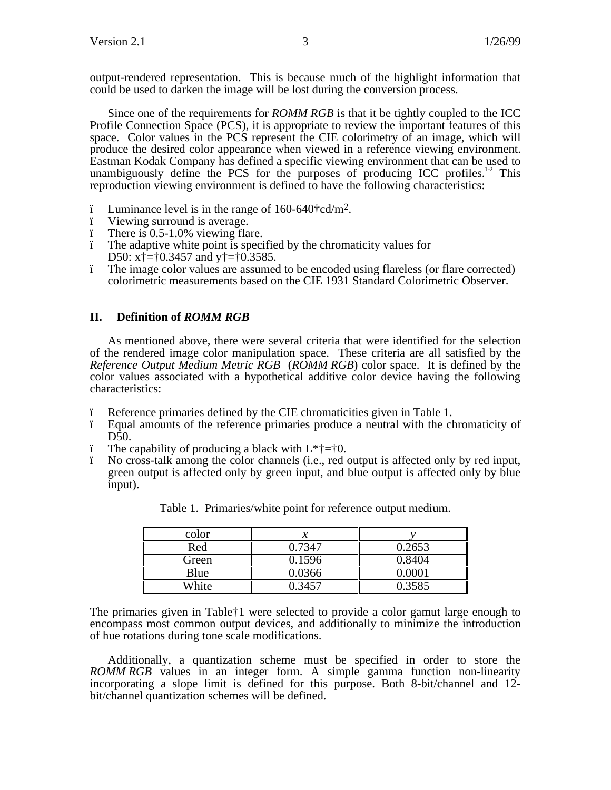output-rendered representation. This is because much of the highlight information that could be used to darken the image will be lost during the conversion process.

Since one of the requirements for *ROMM RGB* is that it be tightly coupled to the ICC Profile Connection Space (PCS), it is appropriate to review the important features of this space. Color values in the PCS represent the CIE colorimetry of an image, which will produce the desired color appearance when viewed in a reference viewing environment. Eastman Kodak Company has defined a specific viewing environment that can be used to unambiguously define the PCS for the purposes of producing ICC profiles. $12$  This reproduction viewing environment is defined to have the following characteristics:

- ï Luminance level is in the range of 160-640†cd/m2. ï Viewing surround is average.
- 
- ï There is 0.5-1.0% viewing flare.
- ï The adaptive white point is specified by the chromaticity values for D50: x†=†0.3457 and y†=†0.3585.
- ï The image color values are assumed to be encoded using flareless (or flare corrected) colorimetric measurements based on the CIE 1931 Standard Colorimetric Observer.

## **II. Definition of** *ROMM RGB*

As mentioned above, there were several criteria that were identified for the selection of the rendered image color manipulation space. These criteria are all satisfied by the *Reference Output Medium Metric RGB* (*ROMM RGB*) color space. It is defined by the color values associated with a hypothetical additive color device having the following characteristics:

- ï Reference primaries defined by the CIE chromaticities given in Table 1.
- ï Equal amounts of the reference primaries produce a neutral with the chromaticity of D50.
- $i$  The capability of producing a black with  $L^* \dagger = \dagger 0$ .
- ï No cross-talk among the color channels (i.e., red output is affected only by red input, green output is affected only by green input, and blue output is affected only by blue input).

| color |        |        |
|-------|--------|--------|
| Red   | 0.7347 | 0.2653 |
| Green | 0.1596 | 0.8404 |
| Blue  | 0.0366 | ገ በበበ1 |
| White | በ 3457 | 0.3585 |

Table 1. Primaries/white point for reference output medium.

The primaries given in Table†1 were selected to provide a color gamut large enough to encompass most common output devices, and additionally to minimize the introduction of hue rotations during tone scale modifications.

Additionally, a quantization scheme must be specified in order to store the *ROMM RGB* values in an integer form. A simple gamma function non-linearity incorporating a slope limit is defined for this purpose. Both 8-bit/channel and 12 bit/channel quantization schemes will be defined.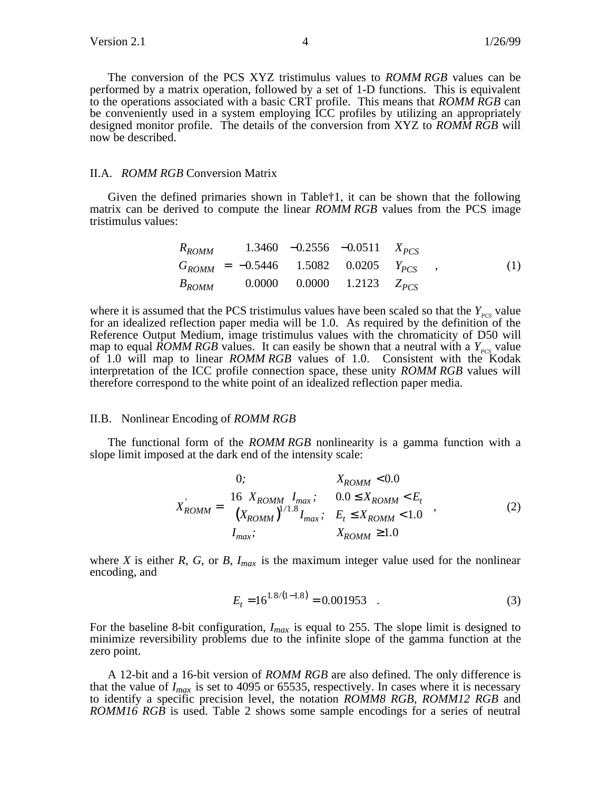The conversion of the PCS XYZ tristimulus values to *ROMM RGB* values can be performed by a matrix operation, followed by a set of 1-D functions. This is equivalent to the operations associated with a basic CRT profile. This means that *ROMM RGB* can be conveniently used in a system employing ICC profiles by utilizing an appropriately designed monitor profile. The details of the conversion from XYZ to *ROMM RGB* will now be described.

#### II.A. *ROMM RGB* Conversion Matrix

Given the defined primaries shown in Table†1, it can be shown that the following matrix can be derived to compute the linear *ROMM RGB* values from the PCS image tristimulus values:

$$
\begin{bmatrix}\nR_{ROMM} \\
G_{ROMM} \\
G_{ROMM}\n\end{bmatrix}\n\begin{bmatrix}\n1.3460 & -0.2556 & -0.0511 \\
-0.5446 & 1.5082 & 0.0205\n\end{bmatrix}\n\begin{bmatrix}\nX_{PCS} \\
Y_{PCS} \\
Y_{PCS}\n\end{bmatrix},
$$
\n(1)\n
$$
\begin{bmatrix}\nB_{ROMM} \\
B_{ROMM}\n\end{bmatrix}\n\begin{bmatrix}\n1.3460 & -0.2556 & -0.0511 \\
1.5082 & 0.0205\n\end{bmatrix}\n\begin{bmatrix}\nX_{PCS} \\
Y_{PCS}\n\end{bmatrix},
$$

where it is assumed that the PCS tristimulus values have been scaled so that the  $Y_{\text{PCS}}$  value for an idealized reflection paper media will be 1.0. As required by the definition of the Reference Output Medium, image tristimulus values with the chromaticity of D50 will map to equal *ROMM RGB* values. It can easily be shown that a neutral with a  $Y_{pcc}$  value of 1.0 will map to linear *ROMM RGB* values of 1.0. Consistent with the Kodak interpretation of the ICC profile connection space, these unity *ROMM RGB* values will therefore correspond to the white point of an idealized reflection paper media.

#### II.B. Nonlinear Encoding of *ROMM RGB*

The functional form of the *ROMM RGB* nonlinearity is a gamma function with a slope limit imposed at the dark end of the intensity scale:

$$
X_{ROMM} = \begin{cases} 0; & X_{ROMM} < 0.0 \\ 16 & X_{ROMM} I_{max}; & 0.0 \le X_{ROMM} < E_t \\ (X_{ROMM})^{1/1.8} I_{max}; & E_t \le X_{ROMM} < 1.0 \\ I_{max}; & X_{ROMM} \ge 1.0 \end{cases}
$$
 (2)

where *X* is either *R*, *G*, or *B*,  $I_{max}$  is the maximum integer value used for the nonlinear encoding, and

$$
E_t = 16^{1.8/(1-1.8)} = 0.001953 \quad . \tag{3}
$$

For the baseline 8-bit configuration, *Imax* is equal to 255. The slope limit is designed to minimize reversibility problems due to the infinite slope of the gamma function at the zero point.

A 12-bit and a 16-bit version of *ROMM RGB* are also defined. The only difference is that the value of  $I_{max}$  is set to 4095 or 65535, respectively. In cases where it is necessary to identify a specific precision level, the notation *ROMM8 RGB*, *ROMM12 RGB* and *ROMM16 RGB* is used. Table 2 shows some sample encodings for a series of neutral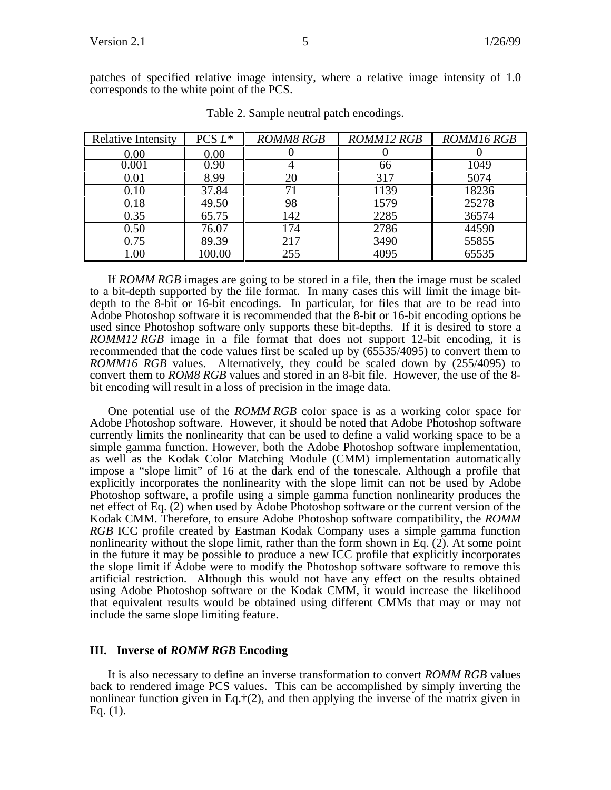patches of specified relative image intensity, where a relative image intensity of 1.0 corresponds to the white point of the PCS.

| <b>Relative Intensity</b> | PCS $L^*$ | <b>ROMM8 RGB</b> | <b>ROMM12 RGB</b> | <b>ROMM16 RGB</b> |
|---------------------------|-----------|------------------|-------------------|-------------------|
| 0.00                      | 0.00      |                  |                   |                   |
| 0.001                     | 0.90      |                  | 66                | 1049              |
| 0.01                      | 8.99      | 20               | 317               | 5074              |
| 0.10                      | 37.84     |                  | 1139              | 18236             |
| 0.18                      | 49.50     | 98               | 1579              | 25278             |
| 0.35                      | 65.75     | 142              | 2285              | 36574             |
| 0.50                      | 76.07     | 174              | 2786              | 44590             |
| 0.75                      | 89.39     | 217              | 3490              | 55855             |
| $1.00\,$                  | 100.00    | 255              | 4095              | 65535             |

Table 2. Sample neutral patch encodings.

If *ROMM RGB* images are going to be stored in a file, then the image must be scaled to a bit-depth supported by the file format. In many cases this will limit the image bitdepth to the 8-bit or 16-bit encodings. In particular, for files that are to be read into Adobe Photoshop software it is recommended that the 8-bit or 16-bit encoding options be used since Photoshop software only supports these bit-depths. If it is desired to store a *ROMM12 RGB* image in a file format that does not support 12-bit encoding, it is recommended that the code values first be scaled up by (65535/4095) to convert them to *ROMM16 RGB* values. Alternatively, they could be scaled down by (255/4095) to convert them to *ROM8 RGB* values and stored in an 8-bit file. However, the use of the 8 bit encoding will result in a loss of precision in the image data.

One potential use of the *ROMM RGB* color space is as a working color space for Adobe Photoshop software. However, it should be noted that Adobe Photoshop software currently limits the nonlinearity that can be used to define a valid working space to be a simple gamma function. However, both the Adobe Photoshop software implementation, as well as the Kodak Color Matching Module (CMM) implementation automatically impose a "slope limit" of 16 at the dark end of the tonescale. Although a profile that explicitly incorporates the nonlinearity with the slope limit can not be used by Adobe Photoshop software, a profile using a simple gamma function nonlinearity produces the net effect of Eq. (2) when used by Adobe Photoshop software or the current version of the Kodak CMM. Therefore, to ensure Adobe Photoshop software compatibility, the *ROMM RGB* ICC profile created by Eastman Kodak Company uses a simple gamma function nonlinearity without the slope limit, rather than the form shown in Eq.  $(2)$ . At some point in the future it may be possible to produce a new ICC profile that explicitly incorporates the slope limit if Adobe were to modify the Photoshop software software to remove this artificial restriction. Although this would not have any effect on the results obtained using Adobe Photoshop software or the Kodak CMM, it would increase the likelihood that equivalent results would be obtained using different CMMs that may or may not include the same slope limiting feature.

## **III. Inverse of** *ROMM RGB* **Encoding**

It is also necessary to define an inverse transformation to convert *ROMM RGB* values back to rendered image PCS values. This can be accomplished by simply inverting the nonlinear function given in Eq. $\ddagger$ (2), and then applying the inverse of the matrix given in Eq.  $(1)$ .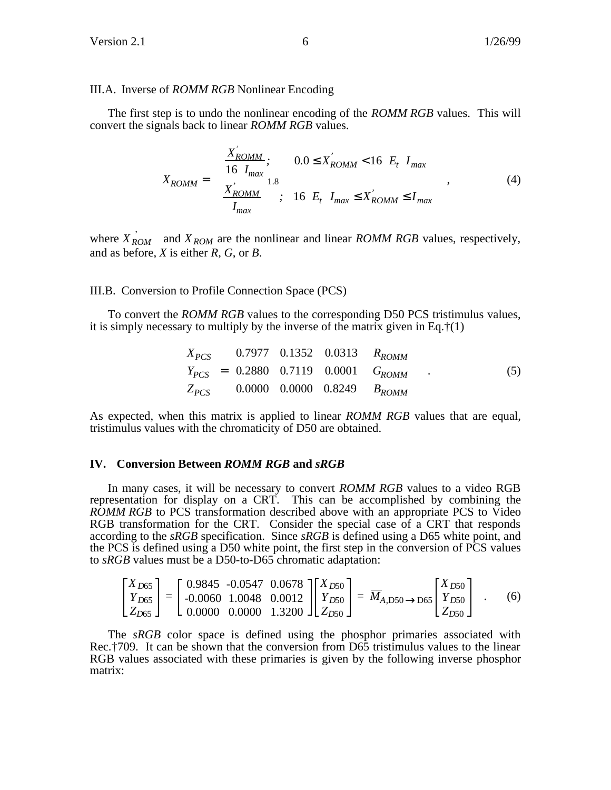### III.A. Inverse of *ROMM RGB* Nonlinear Encoding

The first step is to undo the nonlinear encoding of the *ROMM RGB* values. This will convert the signals back to linear *ROMM RGB* values.

$$
X_{ROMM} = \begin{cases} \frac{X_{ROMM}^{'}}{16 I_{max}}; & 0.0 \le X_{ROMM}^{'} < 16 E_t I_{max} \\ \left(\frac{X_{ROMM}^{'}}{I_{max}}\right)^{1.8}; & 16 E_t I_{max} \le X_{ROMM}^{'} \le I_{max} \end{cases}
$$
(4)

where  $\overrightarrow{X}_{ROM}$  and  $\overrightarrow{X}_{ROM}$  are the nonlinear and linear *ROMM RGB* values, respectively, and as before, *X* is either *R*, *G*, or *B*.

### III.B. Conversion to Profile Connection Space (PCS)

To convert the *ROMM RGB* values to the corresponding D50 PCS tristimulus values, it is simply necessary to multiply by the inverse of the matrix given in Eq. $\ddagger(1)$ 

$$
\begin{bmatrix}\nX_{PCS} \\
Y_{PCS}\n\end{bmatrix}\n\begin{bmatrix}\n0.7977 & 0.1352 & 0.0313 \\
1 & 0.00313 & 0.0001 \\
1 & 0.0000 & 0.0001 & 0.0001 \\
1 & 0.0000 & 0.0000 & 0.8249\n\end{bmatrix}\n\begin{bmatrix}\nR_{ROMM} \\
G_{ROMM}\n\end{bmatrix}
$$
\n(5)

As expected, when this matrix is applied to linear *ROMM RGB* values that are equal, tristimulus values with the chromaticity of D50 are obtained.

## **IV. Conversion Between** *ROMM RGB* **and** *sRGB*

In many cases, it will be necessary to convert *ROMM RGB* values to a video RGB representation for display on a CRT. This can be accomplished by combining the *ROMM RGB* to PCS transformation described above with an appropriate PCS to Video RGB transformation for the CRT. Consider the special case of a CRT that responds according to the *sRGB* specification. Since *sRGB* is defined using a D65 white point, and the PCS is defined using a D50 white point, the first step in the conversion of PCS values to *sRGB* values must be a D50-to-D65 chromatic adaptation:

$$
\begin{bmatrix} X_{D65} \\ Y_{D65} \\ Z_{D65} \end{bmatrix} = \begin{bmatrix} 0.9845 & -0.0547 & 0.0678 \\ -0.0060 & 1.0048 & 0.0012 \\ 0.0000 & 0.0000 & 1.3200 \end{bmatrix} \begin{bmatrix} X_{D50} \\ Y_{D50} \\ Z_{D50} \end{bmatrix} = \overline{M}_{A, D50 \to D65} \begin{bmatrix} X_{D50} \\ Y_{D50} \\ Z_{D50} \end{bmatrix} .
$$
 (6)

The *sRGB* color space is defined using the phosphor primaries associated with Rec.†709. It can be shown that the conversion from D65 tristimulus values to the linear RGB values associated with these primaries is given by the following inverse phosphor matrix: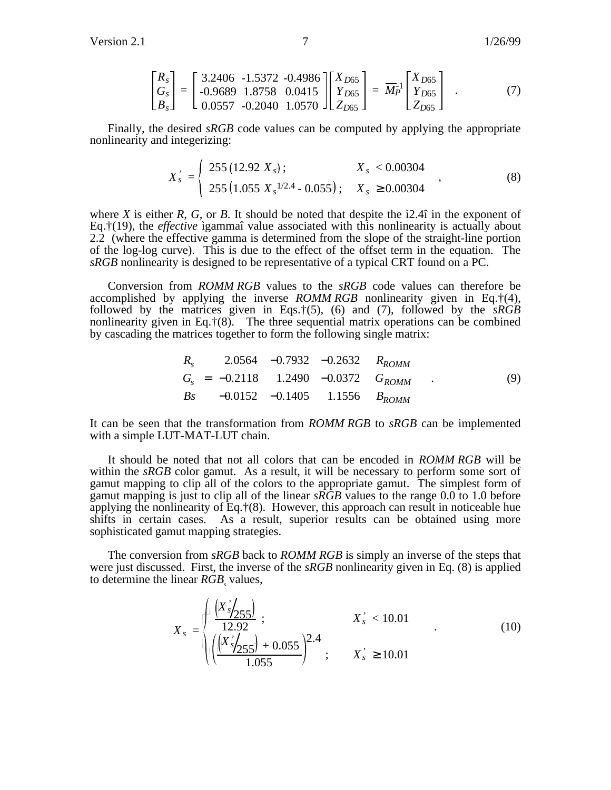Version 2.1 26/99

$$
\begin{bmatrix} R_s \\ G_s \\ B_s \end{bmatrix} = \begin{bmatrix} 3.2406 & -1.5372 & -0.4986 \\ -0.9689 & 1.8758 & 0.0415 \\ 0.0557 & -0.2040 & 1.0570 \end{bmatrix} \begin{bmatrix} X_{D65} \\ Y_{D65} \\ Z_{D65} \end{bmatrix} = \overline{M}_P^{-1} \begin{bmatrix} X_{D65} \\ Y_{D65} \\ Z_{D65} \end{bmatrix} . \tag{7}
$$

Finally, the desired *sRGB* code values can be computed by applying the appropriate nonlinearity and integerizing:

$$
X_{s} = \begin{cases} 255 (12.92 X_{s}) ; & X_{s} < 0.00304 \\ 255 (1.055 X_{s}^{1/2.4} - 0.055) ; & X_{s} \ge 0.00304 \end{cases}
$$
 (8)

where *X* is either *R*, *G*, or *B*. It should be noted that despite the ì2.4î in the exponent of Eq.†(19), the *effective* ìgammaî value associated with this nonlinearity is actually about 2.2 (where the effective gamma is determined from the slope of the straight-line portion of the log-log curve). This is due to the effect of the offset term in the equation. The *sRGB* nonlinearity is designed to be representative of a typical CRT found on a PC.

Conversion from *ROMM RGB* values to the *sRGB* code values can therefore be accomplished by applying the inverse *ROMM RGB* nonlinearity given in Eq.†(4), followed by the matrices given in Eqs.†(5), (6) and (7), followed by the *sRGB* nonlinearity given in Eq. $\ddagger$ (8). The three sequential matrix operations can be combined by cascading the matrices together to form the following single matrix:

$$
\begin{bmatrix}\nR_s\n\end{bmatrix}\n\begin{bmatrix}\n2.0564 & -0.7932 & -0.2632 \\
G_s\n\end{bmatrix}\n\begin{bmatrix}\nR_{ROMM} \\
G_{ROMM} \\
R_{SS}\n\end{bmatrix}\n\begin{bmatrix}\n2.0564 & -0.7932 & -0.2632 \\
1.2490 & -0.0372\n\end{bmatrix}\n\begin{bmatrix}\nR_{ROMM} \\
G_{ROMM}\n\end{bmatrix}.
$$
\n(9)

It can be seen that the transformation from *ROMM RGB* to *sRGB* can be implemented with a simple LUT-MAT-LUT chain.

It should be noted that not all colors that can be encoded in *ROMM RGB* will be within the *sRGB* color gamut. As a result, it will be necessary to perform some sort of gamut mapping to clip all of the colors to the appropriate gamut. The simplest form of gamut mapping is just to clip all of the linear *sRGB* values to the range 0.0 to 1.0 before applying the nonlinearity of Eq. $\ddagger$ (8). However, this approach can result in noticeable hue shifts in certain cases. As a result, superior results can be obtained using more sophisticated gamut mapping strategies.

The conversion from *sRGB* back to *ROMM RGB* is simply an inverse of the steps that were just discussed. First, the inverse of the *sRGB* nonlinearity given in Eq. (8) is applied to determine the linear *RGB*<sub>s</sub> values,

$$
X_{s} = \sqrt{\frac{\left(X_{s}^{'}\right)_{255}}{12.92}}; \qquad X_{s}^{'} < 10.01
$$
\n
$$
\sqrt{\left(\frac{\left(X_{s}^{'}\right)_{255}}{1.055}\right)^{2.4}}; \qquad X_{s}^{'} \ge 10.01
$$
\n(10)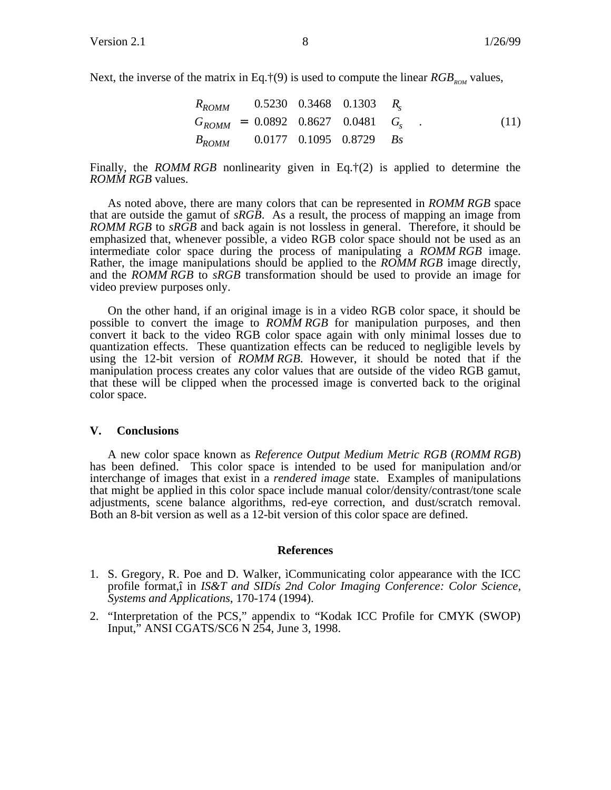Next, the inverse of the matrix in Eq.  $\dot{\uparrow}$ (9) is used to compute the linear *RGB<sub>ROM</sub>* values,

$$
\begin{bmatrix}\nR_{ROMM} \quad \text{[0.5230 0.3468 0.1303]} \quad R_s \\
\text{I}_{G_{ROMM}} \quad \text{I} = \text{[0.0892 0.8627 0.0481]} \quad G_s \\
\text{B}_{ROMM} \quad \text{[0.0177 0.1095 0.8729]} \quad \text{B}_s\n\end{bmatrix} . \tag{11}
$$

Finally, the *ROMM RGB* nonlinearity given in Eq.†(2) is applied to determine the *ROMM RGB* values.

As noted above, there are many colors that can be represented in *ROMM RGB* space that are outside the gamut of *sRGB*. As a result, the process of mapping an image from *ROMM RGB* to *sRGB* and back again is not lossless in general. Therefore, it should be emphasized that, whenever possible, a video RGB color space should not be used as an intermediate color space during the process of manipulating a *ROMM RGB* image. Rather, the image manipulations should be applied to the *ROMM RGB* image directly, and the *ROMM RGB* to *sRGB* transformation should be used to provide an image for video preview purposes only.

On the other hand, if an original image is in a video RGB color space, it should be possible to convert the image to *ROMM RGB* for manipulation purposes, and then convert it back to the video RGB color space again with only minimal losses due to quantization effects. These quantization effects can be reduced to negligible levels by using the 12-bit version of *ROMM RGB*. However, it should be noted that if the manipulation process creates any color values that are outside of the video RGB gamut, that these will be clipped when the processed image is converted back to the original color space.

## **V. Conclusions**

A new color space known as *Reference Output Medium Metric RGB* (*ROMM RGB*) has been defined. This color space is intended to be used for manipulation and/or interchange of images that exist in a *rendered image* state. Examples of manipulations that might be applied in this color space include manual color/density/contrast/tone scale adjustments, scene balance algorithms, red-eye correction, and dust/scratch removal. Both an 8-bit version as well as a 12-bit version of this color space are defined.

#### **References**

- 1. S. Gregory, R. Poe and D. Walker, ìCommunicating color appearance with the ICC profile format,î in *IS&T and SIDís 2nd Color Imaging Conference: Color Science, Systems and Applications*, 170-174 (1994).
- 2. "Interpretation of the PCS," appendix to "Kodak ICC Profile for CMYK (SWOP) Input," ANSI CGATS/SC6 N 254, June 3, 1998.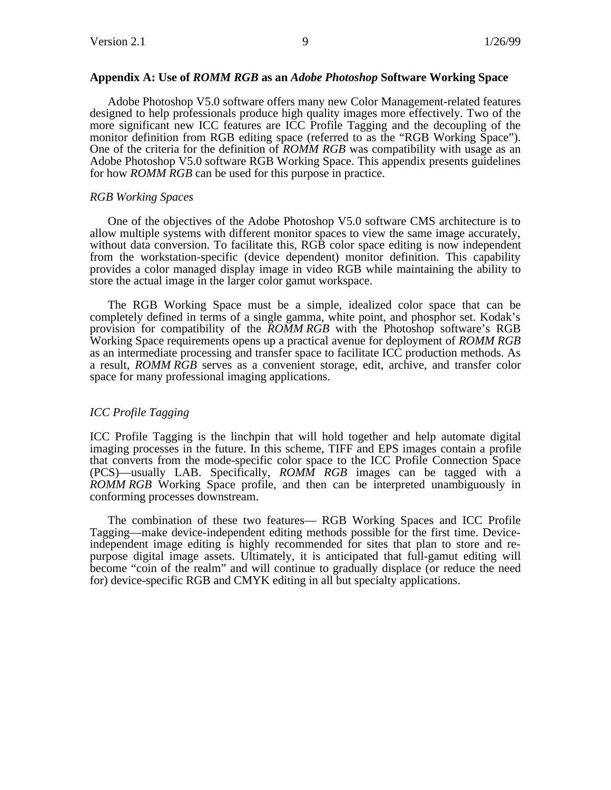## **Appendix A: Use of** *ROMM RGB* **as an** *Adobe Photoshop* **Software Working Space**

Adobe Photoshop V5.0 software offers many new Color Management-related features designed to help professionals produce high quality images more effectively. Two of the more significant new ICC features are ICC Profile Tagging and the decoupling of the monitor definition from RGB editing space (referred to as the "RGB Working Space"). One of the criteria for the definition of *ROMM RGB* was compatibility with usage as an Adobe Photoshop V5.0 software RGB Working Space. This appendix presents guidelines for how *ROMM RGB* can be used for this purpose in practice.

### *RGB Working Spaces*

One of the objectives of the Adobe Photoshop V5.0 software CMS architecture is to allow multiple systems with different monitor spaces to view the same image accurately, without data conversion. To facilitate this, RGB color space editing is now independent from the workstation-specific (device dependent) monitor definition. This capability provides a color managed display image in video RGB while maintaining the ability to store the actual image in the larger color gamut workspace.

The RGB Working Space must be a simple, idealized color space that can be completely defined in terms of a single gamma, white point, and phosphor set. Kodak's provision for compatibility of the *ROMM RGB* with the Photoshop software's RGB Working Space requirements opens up a practical avenue for deployment of *ROMM RGB* as an intermediate processing and transfer space to facilitate ICC production methods. As a result, *ROMM RGB* serves as a convenient storage, edit, archive, and transfer color space for many professional imaging applications.

## *ICC Profile Tagging*

ICC Profile Tagging is the linchpin that will hold together and help automate digital imaging processes in the future. In this scheme, TIFF and EPS images contain a profile that converts from the mode-specific color space to the ICC Profile Connection Space (PCS)—usually LAB. Specifically, *ROMM RGB* images can be tagged with a *ROMM RGB* Working Space profile, and then can be interpreted unambiguously in conforming processes downstream.

The combination of these two features— RGB Working Spaces and ICC Profile Tagging—make device-independent editing methods possible for the first time. Deviceindependent image editing is highly recommended for sites that plan to store and repurpose digital image assets. Ultimately, it is anticipated that full-gamut editing will become "coin of the realm" and will continue to gradually displace (or reduce the need for) device-specific RGB and CMYK editing in all but specialty applications.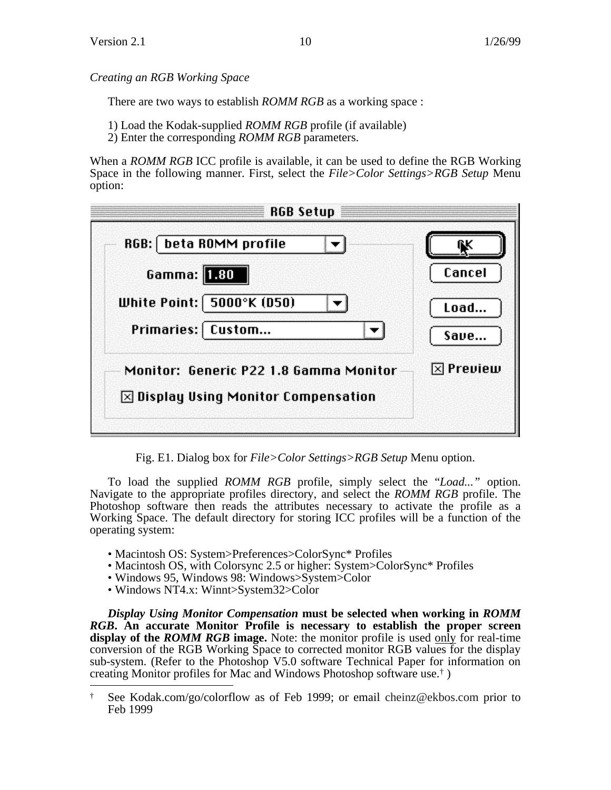*Creating an RGB Working Space*

There are two ways to establish *ROMM RGB* as a working space :

1) Load the Kodak-supplied *ROMM RGB* profile (if available)

2) Enter the corresponding *ROMM RGB* parameters.

When a *ROMM RGB* ICC profile is available, it can be used to define the RGB Working Space in the following manner. First, select the *File>Color Settings>RGB Setup* Menu option:

| <b>RGB Setup</b>                                                                                                |                   |
|-----------------------------------------------------------------------------------------------------------------|-------------------|
| RGB:   beta ROMM profile<br>Gamma: <b>1.80</b><br>White Point:   5000°K (D50)                                   | Cancel<br>Load    |
| Primaries: [ Custom<br>Monitor: Generic P22 1.8 Gamma Monitor<br>$\boxtimes$ Display Using Monitor Compensation | Save<br>⊠ Preview |

Fig. E1. Dialog box for *File>Color Settings>RGB Setup* Menu option.

To load the supplied *ROMM RGB* profile, simply select the "*Load..."* option. Navigate to the appropriate profiles directory, and select the *ROMM RGB* profile. The Photoshop software then reads the attributes necessary to activate the profile as a Working Space. The default directory for storing ICC profiles will be a function of the operating system:

- Macintosh OS: System>Preferences>ColorSync\* Profiles
- Macintosh OS, with Colorsync 2.5 or higher: System>ColorSync\* Profiles
- Windows 95, Windows 98: Windows>System>Color
- Windows NT4.x: Winnt>System32>Color

*Display Using Monitor Compensation* **must be selected when working in** *ROMM RGB***. An accurate Monitor Profile is necessary to establish the proper screen display of the** *ROMM RGB* **image.** Note: the monitor profile is used only for real-time conversion of the RGB Working Space to corrected monitor RGB values for the display sub-system. (Refer to the Photoshop V5.0 software Technical Paper for information on creating Monitor profiles for Mac and Windows Photoshop software use.† )

 <sup>†</sup> See Kodak.com/go/colorflow as of Feb 1999; or email cheinz@ekbos.com prior to Feb 1999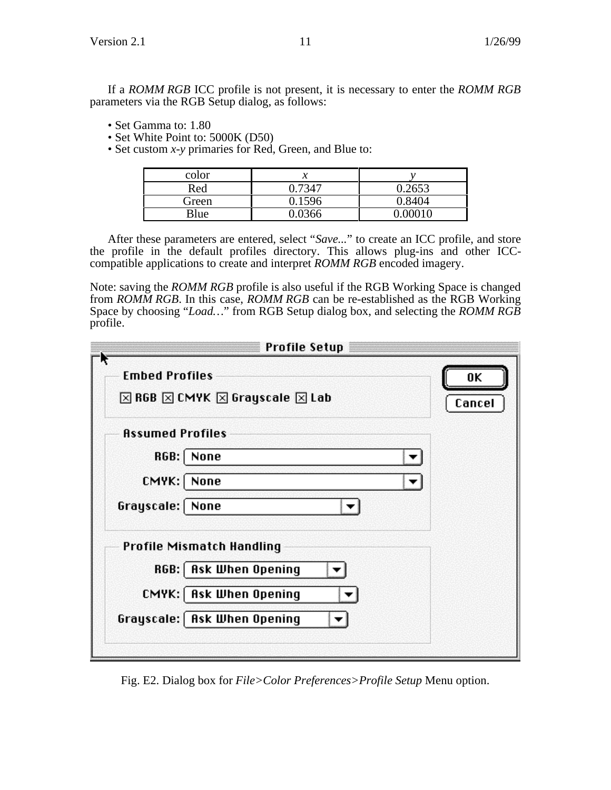- Set Gamma to: 1.80
- Set White Point to: 5000K (D50)
- Set custom *x-y* primaries for Red, Green, and Blue to:

| color |        |        |
|-------|--------|--------|
| Red   |        | 0.2653 |
| Green | 0.1596 | 0.8404 |
| Blue  |        |        |

After these parameters are entered, select "*Save...*" to create an ICC profile, and store the profile in the default profiles directory. This allows plug-ins and other ICCcompatible applications to create and interpret *ROMM RGB* encoded imagery.

Note: saving the *ROMM RGB* profile is also useful if the RGB Working Space is changed from *ROMM RGB*. In this case, *ROMM RGB* can be re-established as the RGB Working Space by choosing "*Load…*" from RGB Setup dialog box, and selecting the *ROMM RGB* profile.

| <b>Profile Setup</b>                                                                            |              |
|-------------------------------------------------------------------------------------------------|--------------|
| <b>Embed Profiles</b><br>$\boxtimes$ RGB $\boxtimes$ CMYK $\boxtimes$ Grayscale $\boxtimes$ Lab | 0K<br>Cancel |
| <b>Assumed Profiles</b>                                                                         |              |
| RGB:<br>None                                                                                    |              |
| CMYK:<br>None                                                                                   |              |
| Grayscale:<br>None                                                                              |              |
| Profile Mismatch Handling                                                                       |              |
| RGB: Ask When Opening                                                                           |              |
| CMYK:   Ask When Opening                                                                        |              |
| Grayscale:   Ask When Opening                                                                   |              |
|                                                                                                 |              |

Fig. E2. Dialog box for *File>Color Preferences>Profile Setup* Menu option.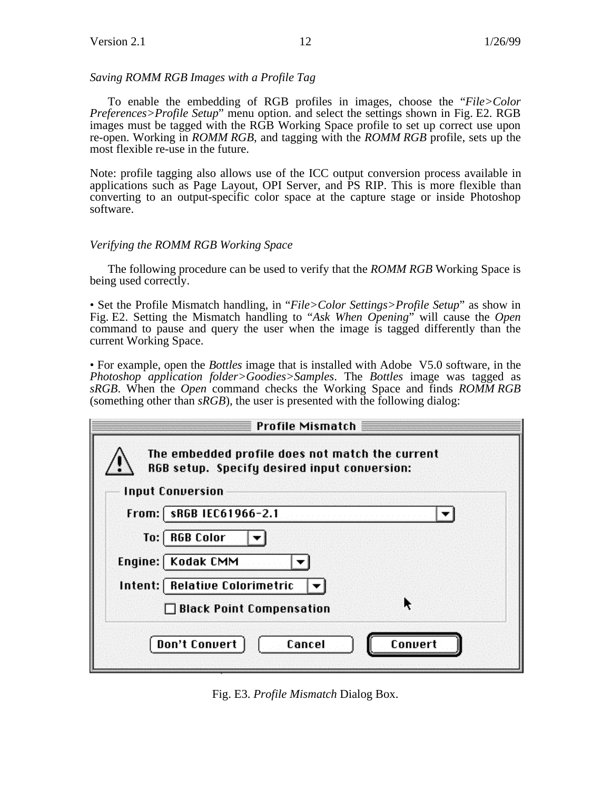## *Saving ROMM RGB Images with a Profile Tag*

To enable the embedding of RGB profiles in images, choose the "*File>Color Preferences>Profile Setup*" menu option. and select the settings shown in Fig. E2. RGB images must be tagged with the RGB Working Space profile to set up correct use upon re-open. Working in *ROMM RGB*, and tagging with the *ROMM RGB* profile, sets up the most flexible re-use in the future.

Note: profile tagging also allows use of the ICC output conversion process available in applications such as Page Layout, OPI Server, and PS RIP. This is more flexible than converting to an output-specific color space at the capture stage or inside Photoshop software.

## *Verifying the ROMM RGB Working Space*

The following procedure can be used to verify that the *ROMM RGB* Working Space is being used correctly.

• Set the Profile Mismatch handling, in "*File>Color Settings>Profile Setup*" as show in Fig. E2. Setting the Mismatch handling to "*Ask When Opening*" will cause the *Open* command to pause and query the user when the image is tagged differently than the current Working Space.

• For example, open the *Bottles* image that is installed with Adobe V5.0 software, in the *Photoshop application folder>Goodies>Samples*. The *Bottles* image was tagged as *sRGB*. When the *Open* command checks the Working Space and finds *ROMM RGB* (something other than *sRGB*), the user is presented with the following dialog:

|         | <b>Profile Mismatch</b>                                                                                                    |
|---------|----------------------------------------------------------------------------------------------------------------------------|
|         | The embedded profile does not match the current<br>RGB setup. Specify desired input conversion:<br><b>Input Conversion</b> |
| From:   | sRGB IEC61966-2.1                                                                                                          |
| To:     | <b>RGB Color</b>                                                                                                           |
| Engine: | Kodak CMM                                                                                                                  |
| Intent: | <b>Relative Colorimetric</b>                                                                                               |
|         | ĸ<br><b>Black Point Compensation</b>                                                                                       |
|         | <b>Don't Convert</b><br>Cancel<br>Convert                                                                                  |

Fig. E3. *Profile Mismatch* Dialog Box.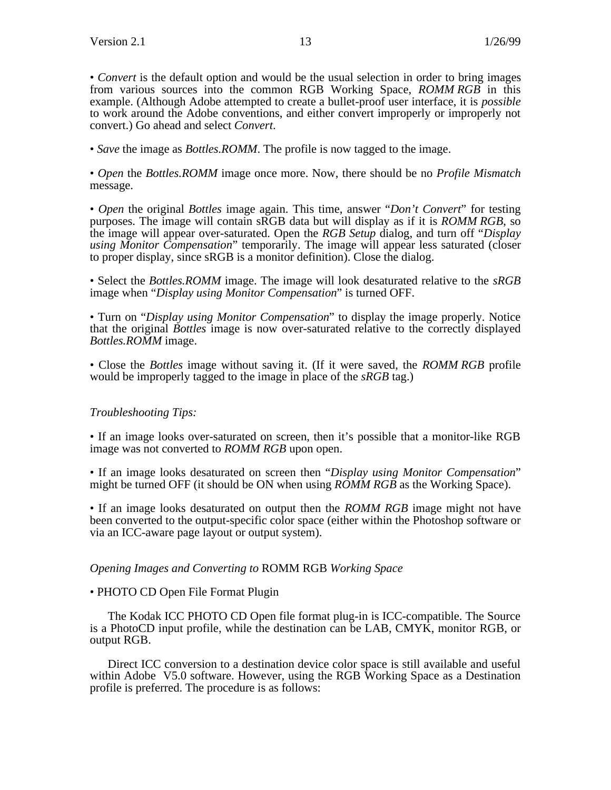• *Convert* is the default option and would be the usual selection in order to bring images from various sources into the common RGB Working Space, *ROMM RGB* in this example. (Although Adobe attempted to create a bullet-proof user interface, it is *possible* to work around the Adobe conventions, and either convert improperly or improperly not convert.) Go ahead and select *Convert*.

• *Save* the image as *Bottles.ROMM*. The profile is now tagged to the image.

• *Open* the *Bottles.ROMM* image once more. Now, there should be no *Profile Mismatch* message.

• *Open* the original *Bottles* image again. This time, answer "*Don't Convert*" for testing purposes. The image will contain sRGB data but will display as if it is *ROMM RGB*, so the image will appear over-saturated. Open the *RGB Setup* dialog, and turn off "*Display using Monitor Compensation*" temporarily. The image will appear less saturated (closer to proper display, since sRGB is a monitor definition). Close the dialog.

• Select the *Bottles.ROMM* image. The image will look desaturated relative to the *sRGB* image when "*Display using Monitor Compensation*" is turned OFF.

• Turn on "*Display using Monitor Compensation*" to display the image properly. Notice that the original *Bottles* image is now over-saturated relative to the correctly displayed *Bottles.ROMM* image.

• Close the *Bottles* image without saving it. (If it were saved, the *ROMM RGB* profile would be improperly tagged to the image in place of the *sRGB* tag.)

## *Troubleshooting Tips:*

• If an image looks over-saturated on screen, then it's possible that a monitor-like RGB image was not converted to *ROMM RGB* upon open.

• If an image looks desaturated on screen then "*Display using Monitor Compensation*" might be turned OFF (it should be ON when using *ROMM RGB* as the Working Space).

• If an image looks desaturated on output then the *ROMM RGB* image might not have been converted to the output-specific color space (either within the Photoshop software or via an ICC-aware page layout or output system).

## *Opening Images and Converting to* ROMM RGB *Working Space*

## • PHOTO CD Open File Format Plugin

The Kodak ICC PHOTO CD Open file format plug-in is ICC-compatible. The Source is a PhotoCD input profile, while the destination can be LAB, CMYK, monitor RGB, or output RGB.

Direct ICC conversion to a destination device color space is still available and useful within Adobe V5.0 software. However, using the RGB Working Space as a Destination profile is preferred. The procedure is as follows: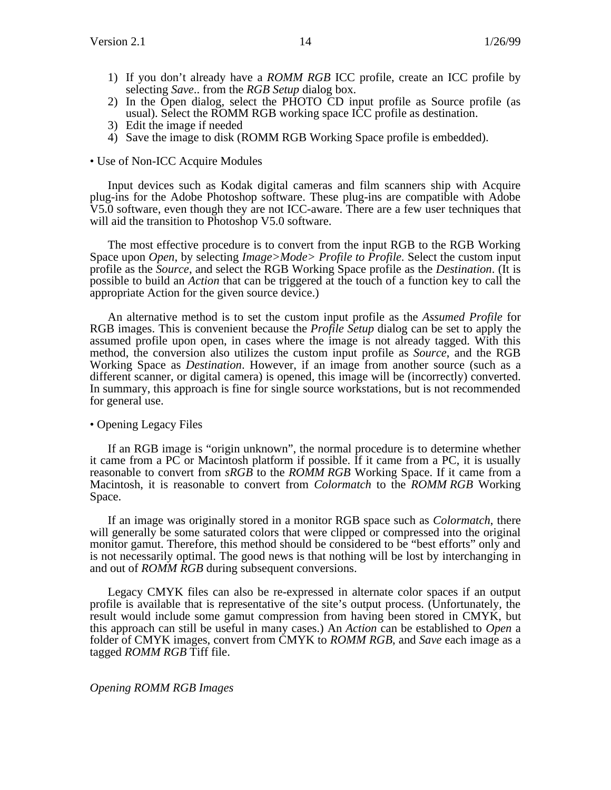- 1) If you don't already have a *ROMM RGB* ICC profile, create an ICC profile by selecting *Save*.. from the *RGB Setup* dialog box.
- 2) In the Open dialog, select the PHOTO CD input profile as Source profile (as usual). Select the ROMM RGB working space ICC profile as destination.
- 3) Edit the image if needed
- 4) Save the image to disk (ROMM RGB Working Space profile is embedded).

#### • Use of Non-ICC Acquire Modules

Input devices such as Kodak digital cameras and film scanners ship with Acquire plug-ins for the Adobe Photoshop software. These plug-ins are compatible with Adobe V5.0 software, even though they are not ICC-aware. There are a few user techniques that will aid the transition to Photoshop V5.0 software.

The most effective procedure is to convert from the input RGB to the RGB Working Space upon *Open*, by selecting *Image>Mode> Profile to Profile*. Select the custom input profile as the *Source*, and select the RGB Working Space profile as the *Destination*. (It is possible to build an *Action* that can be triggered at the touch of a function key to call the appropriate Action for the given source device.)

An alternative method is to set the custom input profile as the *Assumed Profile* for RGB images. This is convenient because the *Profile Setup* dialog can be set to apply the assumed profile upon open, in cases where the image is not already tagged. With this method, the conversion also utilizes the custom input profile as *Source*, and the RGB Working Space as *Destination*. However, if an image from another source (such as a different scanner, or digital camera) is opened, this image will be (incorrectly) converted. In summary, this approach is fine for single source workstations, but is not recommended for general use.

### • Opening Legacy Files

If an RGB image is "origin unknown", the normal procedure is to determine whether it came from a PC or Macintosh platform if possible. If it came from a PC, it is usually reasonable to convert from *sRGB* to the *ROMM RGB* Working Space. If it came from a Macintosh, it is reasonable to convert from *Colormatch* to the *ROMM RGB* Working Space.

If an image was originally stored in a monitor RGB space such as *Colormatch*, there will generally be some saturated colors that were clipped or compressed into the original monitor gamut. Therefore, this method should be considered to be "best efforts" only and is not necessarily optimal. The good news is that nothing will be lost by interchanging in and out of *ROMM RGB* during subsequent conversions.

Legacy CMYK files can also be re-expressed in alternate color spaces if an output profile is available that is representative of the site's output process. (Unfortunately, the result would include some gamut compression from having been stored in CMYK, but this approach can still be useful in many cases.) An *Action* can be established to *Open* a folder of CMYK images, convert from CMYK to *ROMM RGB*, and *Save* each image as a tagged *ROMM RGB* Tiff file.

#### *Opening ROMM RGB Images*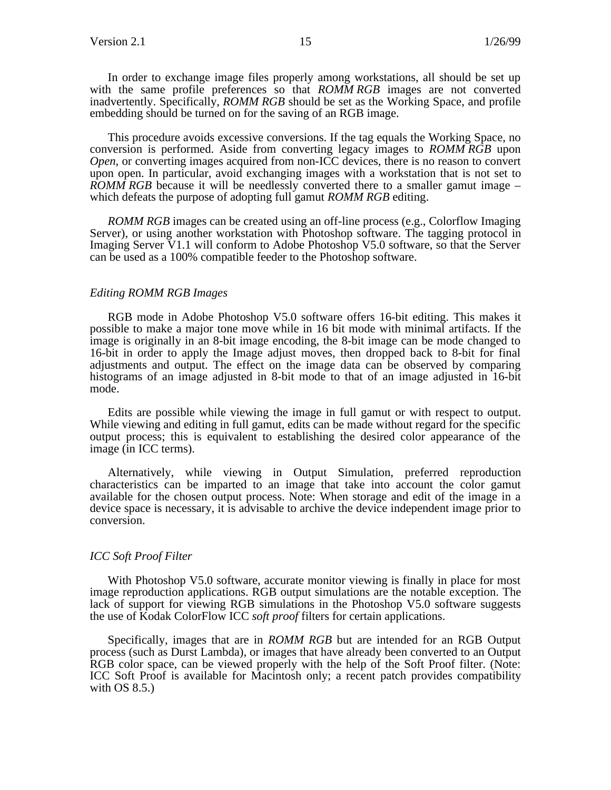In order to exchange image files properly among workstations, all should be set up with the same profile preferences so that *ROMM RGB* images are not converted inadvertently. Specifically, *ROMM RGB* should be set as the Working Space, and profile embedding should be turned on for the saving of an RGB image.

This procedure avoids excessive conversions. If the tag equals the Working Space, no conversion is performed. Aside from converting legacy images to *ROMM RGB* upon *Open*, or converting images acquired from non-ICC devices, there is no reason to convert upon open. In particular, avoid exchanging images with a workstation that is not set to *ROMM RGB* because it will be needlessly converted there to a smaller gamut image – which defeats the purpose of adopting full gamut *ROMM RGB* editing.

*ROMM RGB* images can be created using an off-line process (e.g., Colorflow Imaging Server), or using another workstation with Photoshop software. The tagging protocol in Imaging Server V1.1 will conform to Adobe Photoshop V5.0 software, so that the Server can be used as a 100% compatible feeder to the Photoshop software.

#### *Editing ROMM RGB Images*

RGB mode in Adobe Photoshop V5.0 software offers 16-bit editing. This makes it possible to make a major tone move while in 16 bit mode with minimal artifacts. If the image is originally in an 8-bit image encoding, the 8-bit image can be mode changed to 16-bit in order to apply the Image adjust moves, then dropped back to 8-bit for final adjustments and output. The effect on the image data can be observed by comparing histograms of an image adjusted in 8-bit mode to that of an image adjusted in 16-bit mode.

Edits are possible while viewing the image in full gamut or with respect to output. While viewing and editing in full gamut, edits can be made without regard for the specific output process; this is equivalent to establishing the desired color appearance of the image (in ICC terms).

Alternatively, while viewing in Output Simulation, preferred reproduction characteristics can be imparted to an image that take into account the color gamut available for the chosen output process. Note: When storage and edit of the image in a device space is necessary, it is advisable to archive the device independent image prior to conversion.

#### *ICC Soft Proof Filter*

With Photoshop V5.0 software, accurate monitor viewing is finally in place for most image reproduction applications. RGB output simulations are the notable exception. The lack of support for viewing RGB simulations in the Photoshop V5.0 software suggests the use of Kodak ColorFlow ICC *soft proof* filters for certain applications.

Specifically, images that are in *ROMM RGB* but are intended for an RGB Output process (such as Durst Lambda), or images that have already been converted to an Output RGB color space, can be viewed properly with the help of the Soft Proof filter. (Note: ICC Soft Proof is available for Macintosh only; a recent patch provides compatibility with OS 8.5.)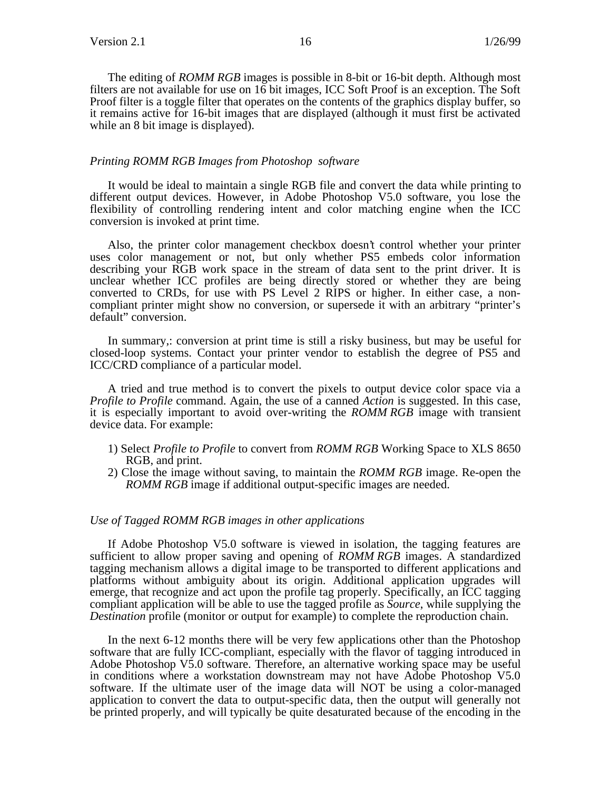The editing of *ROMM RGB* images is possible in 8-bit or 16-bit depth. Although most filters are not available for use on 16 bit images, ICC Soft Proof is an exception. The Soft Proof filter is a toggle filter that operates on the contents of the graphics display buffer, so it remains active for 16-bit images that are displayed (although it must first be activated while an 8 bit image is displayed).

#### *Printing ROMM RGB Images from Photoshop software*

It would be ideal to maintain a single RGB file and convert the data while printing to different output devices. However, in Adobe Photoshop V5.0 software, you lose the flexibility of controlling rendering intent and color matching engine when the ICC conversion is invoked at print time.

Also, the printer color management checkbox doesn't control whether your printer uses color management or not, but only whether PS5 embeds color information describing your RGB work space in the stream of data sent to the print driver. It is unclear whether ICC profiles are being directly stored or whether they are being converted to CRDs, for use with PS Level 2 RIPS or higher. In either case, a noncompliant printer might show no conversion, or supersede it with an arbitrary "printer's default" conversion.

In summary,: conversion at print time is still a risky business, but may be useful for closed-loop systems. Contact your printer vendor to establish the degree of PS5 and ICC/CRD compliance of a particular model.

A tried and true method is to convert the pixels to output device color space via a *Profile to Profile* command. Again, the use of a canned *Action* is suggested. In this case, it is especially important to avoid over-writing the *ROMM RGB* image with transient device data. For example:

- 1) Select *Profile to Profile* to convert from *ROMM RGB* Working Space to XLS 8650 RGB, and print.
- 2) Close the image without saving, to maintain the *ROMM RGB* image. Re-open the *ROMM RGB* image if additional output-specific images are needed.

#### *Use of Tagged ROMM RGB images in other applications*

If Adobe Photoshop V5.0 software is viewed in isolation, the tagging features are sufficient to allow proper saving and opening of *ROMM RGB* images. A standardized tagging mechanism allows a digital image to be transported to different applications and platforms without ambiguity about its origin. Additional application upgrades will emerge, that recognize and act upon the profile tag properly. Specifically, an ICC tagging compliant application will be able to use the tagged profile as *Source*, while supplying the *Destination* profile (monitor or output for example) to complete the reproduction chain.

In the next 6-12 months there will be very few applications other than the Photoshop software that are fully ICC-compliant, especially with the flavor of tagging introduced in Adobe Photoshop V5.0 software. Therefore, an alternative working space may be useful in conditions where a workstation downstream may not have Adobe Photoshop V5.0 software. If the ultimate user of the image data will NOT be using a color-managed application to convert the data to output-specific data, then the output will generally not be printed properly, and will typically be quite desaturated because of the encoding in the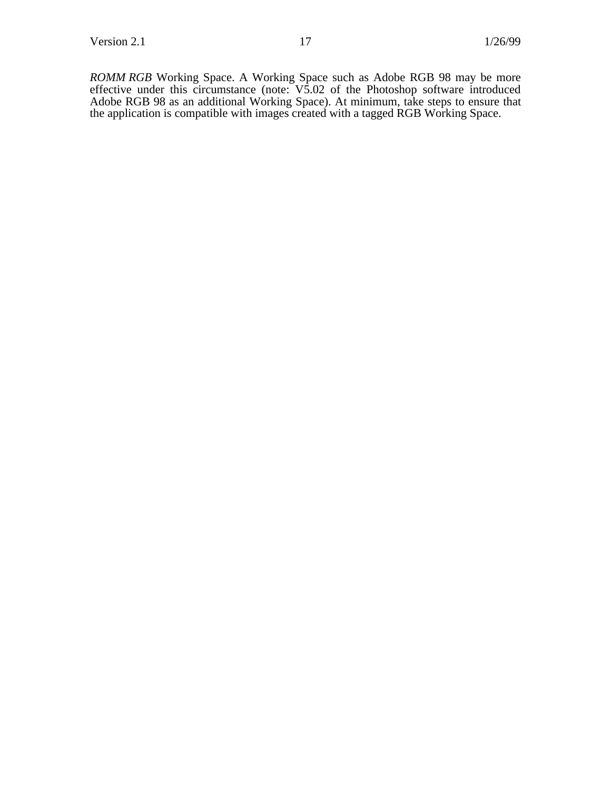*ROMM RGB* Working Space. A Working Space such as Adobe RGB 98 may be more effective under this circumstance (note: V5.02 of the Photoshop software introduced Adobe RGB 98 as an additional Working Space). At minimum, take steps to ensure that the application is compatible with images created with a tagged RGB Working Space.